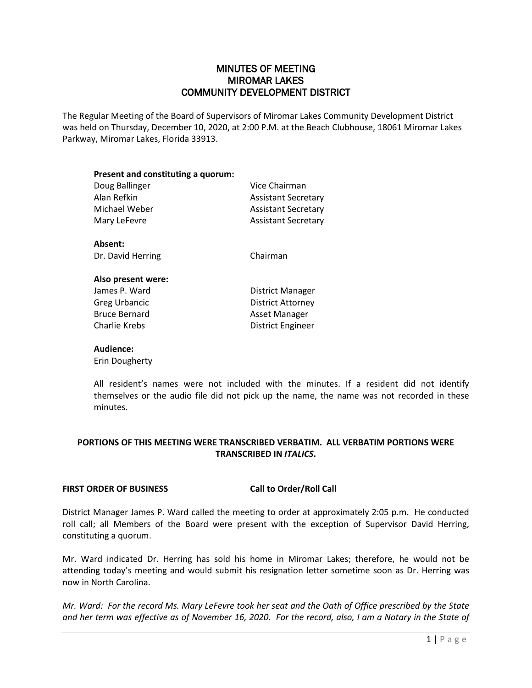# MINUTES OF MEETING MIROMAR LAKES COMMUNITY DEVELOPMENT DISTRICT

The Regular Meeting of the Board of Supervisors of Miromar Lakes Community Development District was held on Thursday, December 10, 2020, at 2:00 P.M. at the Beach Clubhouse, 18061 Miromar Lakes Parkway, Miromar Lakes, Florida 33913.

| Present and constituting a quorum: |                            |  |
|------------------------------------|----------------------------|--|
| Doug Ballinger                     | Vice Chairman              |  |
| Alan Refkin                        | <b>Assistant Secretary</b> |  |
| Michael Weber                      | <b>Assistant Secretary</b> |  |
| Mary LeFevre                       | <b>Assistant Secretary</b> |  |
| Absent:                            |                            |  |
| Dr. David Herring                  | Chairman                   |  |
| Also present were:                 |                            |  |
| $l = 2$                            | Distrial Manager           |  |

| James P. Ward        | <b>District Manager</b> |
|----------------------|-------------------------|
| <b>Greg Urbancic</b> | District Attorney       |
| <b>Bruce Bernard</b> | Asset Manager           |
| Charlie Krebs        | District Engineer       |
|                      |                         |

# **Audience:**

Erin Dougherty

All resident's names were not included with the minutes. If a resident did not identify themselves or the audio file did not pick up the name, the name was not recorded in these minutes.

# **PORTIONS OF THIS MEETING WERE TRANSCRIBED VERBATIM. ALL VERBATIM PORTIONS WERE TRANSCRIBED IN** *ITALICS***.**

# **FIRST ORDER OF BUSINESS Call to Order/Roll Call**

District Manager James P. Ward called the meeting to order at approximately 2:05 p.m. He conducted roll call; all Members of the Board were present with the exception of Supervisor David Herring, constituting a quorum.

Mr. Ward indicated Dr. Herring has sold his home in Miromar Lakes; therefore, he would not be attending today's meeting and would submit his resignation letter sometime soon as Dr. Herring was now in North Carolina.

*Mr. Ward: For the record Ms. Mary LeFevre took her seat and the Oath of Office prescribed by the State and her term was effective as of November 16, 2020. For the record, also, I am a Notary in the State of*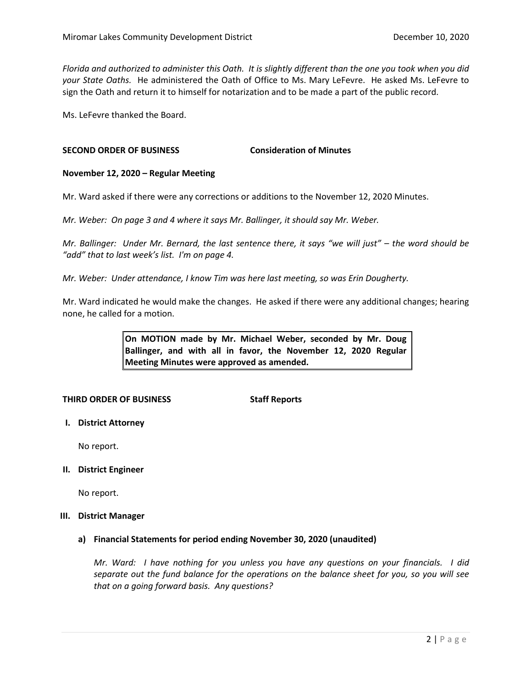*Florida and authorized to administer this Oath. It is slightly different than the one you took when you did your State Oaths.* He administered the Oath of Office to Ms. Mary LeFevre. He asked Ms. LeFevre to sign the Oath and return it to himself for notarization and to be made a part of the public record.

Ms. LeFevre thanked the Board.

# **SECOND ORDER OF BUSINESS Consideration of Minutes**

# **November 12, 2020 – Regular Meeting**

Mr. Ward asked if there were any corrections or additions to the November 12, 2020 Minutes.

*Mr. Weber: On page 3 and 4 where it says Mr. Ballinger, it should say Mr. Weber.* 

*Mr. Ballinger: Under Mr. Bernard, the last sentence there, it says "we will just" – the word should be "add" that to last week's list. I'm on page 4.* 

*Mr. Weber: Under attendance, I know Tim was here last meeting, so was Erin Dougherty.* 

Mr. Ward indicated he would make the changes. He asked if there were any additional changes; hearing none, he called for a motion.

> **On MOTION made by Mr. Michael Weber, seconded by Mr. Doug Ballinger, and with all in favor, the November 12, 2020 Regular Meeting Minutes were approved as amended.**

# **THIRD ORDER OF BUSINESS Staff Reports**

**I. District Attorney**

No report.

#### **II. District Engineer**

No report.

### **III. District Manager**

# **a) Financial Statements for period ending November 30, 2020 (unaudited)**

*Mr. Ward: I have nothing for you unless you have any questions on your financials. I did separate out the fund balance for the operations on the balance sheet for you, so you will see that on a going forward basis. Any questions?*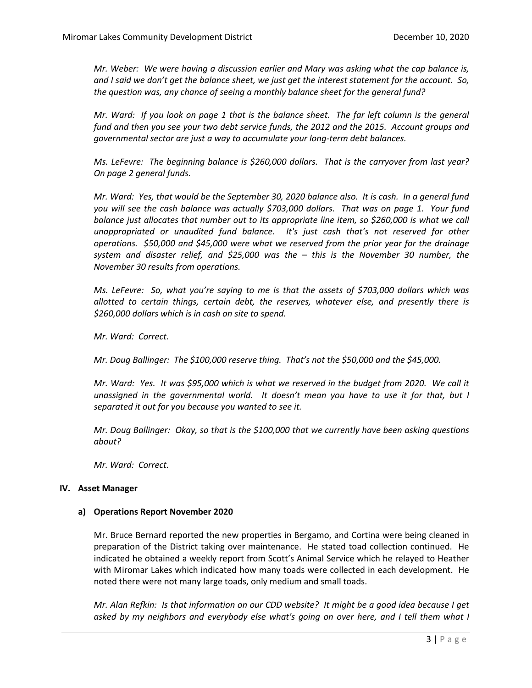*Mr. Weber: We were having a discussion earlier and Mary was asking what the cap balance is, and I said we don't get the balance sheet, we just get the interest statement for the account. So, the question was, any chance of seeing a monthly balance sheet for the general fund?*

*Mr. Ward: If you look on page 1 that is the balance sheet. The far left column is the general fund and then you see your two debt service funds, the 2012 and the 2015. Account groups and governmental sector are just a way to accumulate your long-term debt balances.* 

*Ms. LeFevre: The beginning balance is \$260,000 dollars. That is the carryover from last year? On page 2 general funds.*

*Mr. Ward: Yes, that would be the September 30, 2020 balance also. It is cash. In a general fund you will see the cash balance was actually \$703,000 dollars. That was on page 1. Your fund balance just allocates that number out to its appropriate line item, so \$260,000 is what we call unappropriated or unaudited fund balance. It's just cash that's not reserved for other operations. \$50,000 and \$45,000 were what we reserved from the prior year for the drainage system and disaster relief, and \$25,000 was the – this is the November 30 number, the November 30 results from operations.* 

*Ms. LeFevre: So, what you're saying to me is that the assets of \$703,000 dollars which was allotted to certain things, certain debt, the reserves, whatever else, and presently there is \$260,000 dollars which is in cash on site to spend.* 

*Mr. Ward: Correct.* 

*Mr. Doug Ballinger: The \$100,000 reserve thing. That's not the \$50,000 and the \$45,000.*

*Mr. Ward: Yes. It was \$95,000 which is what we reserved in the budget from 2020. We call it unassigned in the governmental world. It doesn't mean you have to use it for that, but I separated it out for you because you wanted to see it.* 

*Mr. Doug Ballinger: Okay, so that is the \$100,000 that we currently have been asking questions about?*

*Mr. Ward: Correct.*

# **IV. Asset Manager**

# **a) Operations Report November 2020**

Mr. Bruce Bernard reported the new properties in Bergamo, and Cortina were being cleaned in preparation of the District taking over maintenance. He stated toad collection continued. He indicated he obtained a weekly report from Scott's Animal Service which he relayed to Heather with Miromar Lakes which indicated how many toads were collected in each development. He noted there were not many large toads, only medium and small toads.

*Mr. Alan Refkin: Is that information on our CDD website? It might be a good idea because I get asked by my neighbors and everybody else what's going on over here, and I tell them what I*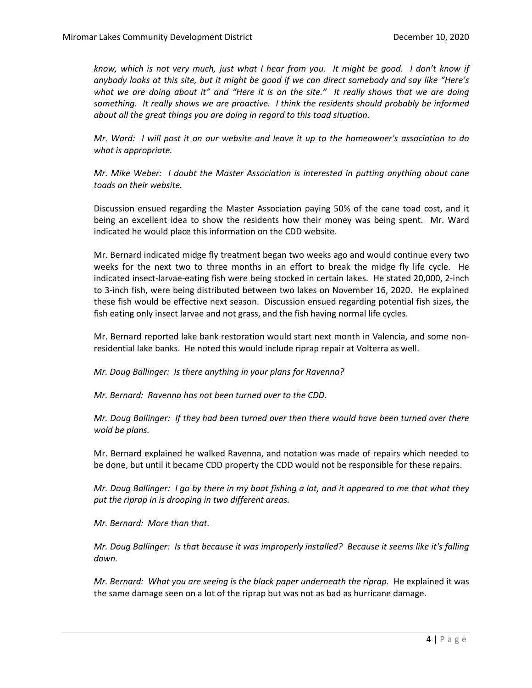*know, which is not very much, just what I hear from you. It might be good. I don't know if anybody looks at this site, but it might be good if we can direct somebody and say like "Here's what we are doing about it" and "Here it is on the site." It really shows that we are doing something. It really shows we are proactive. I think the residents should probably be informed about all the great things you are doing in regard to this toad situation.*

*Mr. Ward: I will post it on our website and leave it up to the homeowner's association to do what is appropriate.*

*Mr. Mike Weber: I doubt the Master Association is interested in putting anything about cane toads on their website.* 

Discussion ensued regarding the Master Association paying 50% of the cane toad cost, and it being an excellent idea to show the residents how their money was being spent. Mr. Ward indicated he would place this information on the CDD website.

Mr. Bernard indicated midge fly treatment began two weeks ago and would continue every two weeks for the next two to three months in an effort to break the midge fly life cycle. He indicated insect-larvae-eating fish were being stocked in certain lakes. He stated 20,000, 2-inch to 3-inch fish, were being distributed between two lakes on November 16, 2020. He explained these fish would be effective next season. Discussion ensued regarding potential fish sizes, the fish eating only insect larvae and not grass, and the fish having normal life cycles.

Mr. Bernard reported lake bank restoration would start next month in Valencia, and some nonresidential lake banks. He noted this would include riprap repair at Volterra as well.

*Mr. Doug Ballinger: Is there anything in your plans for Ravenna?* 

*Mr. Bernard: Ravenna has not been turned over to the CDD.*

*Mr. Doug Ballinger: If they had been turned over then there would have been turned over there wold be plans.*

Mr. Bernard explained he walked Ravenna, and notation was made of repairs which needed to be done, but until it became CDD property the CDD would not be responsible for these repairs.

*Mr. Doug Ballinger: I go by there in my boat fishing a lot, and it appeared to me that what they put the riprap in is drooping in two different areas.* 

*Mr. Bernard: More than that.*

*Mr. Doug Ballinger: Is that because it was improperly installed? Because it seems like it's falling down.* 

*Mr. Bernard: What you are seeing is the black paper underneath the riprap.* He explained it was the same damage seen on a lot of the riprap but was not as bad as hurricane damage.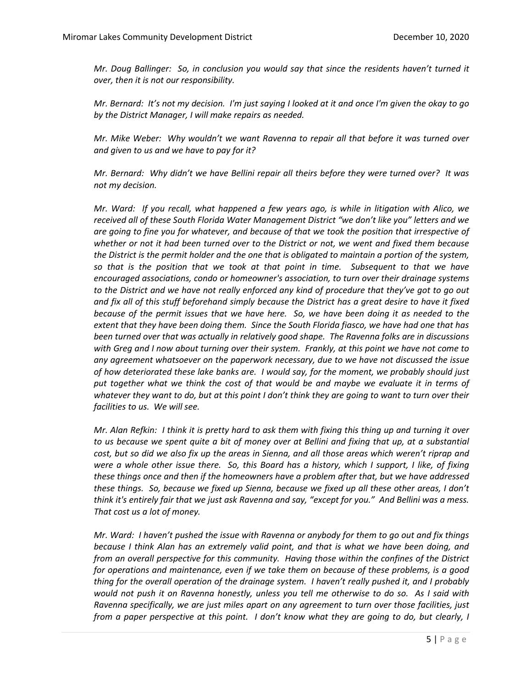*Mr. Doug Ballinger: So, in conclusion you would say that since the residents haven't turned it over, then it is not our responsibility.* 

*Mr. Bernard: It's not my decision. I'm just saying I looked at it and once I'm given the okay to go by the District Manager, I will make repairs as needed.* 

*Mr. Mike Weber: Why wouldn't we want Ravenna to repair all that before it was turned over and given to us and we have to pay for it?* 

*Mr. Bernard: Why didn't we have Bellini repair all theirs before they were turned over? It was not my decision.* 

*Mr. Ward: If you recall, what happened a few years ago, is while in litigation with Alico, we received all of these South Florida Water Management District "we don't like you" letters and we are going to fine you for whatever, and because of that we took the position that irrespective of whether or not it had been turned over to the District or not, we went and fixed them because the District is the permit holder and the one that is obligated to maintain a portion of the system, so that is the position that we took at that point in time. Subsequent to that we have encouraged associations, condo or homeowner's association, to turn over their drainage systems to the District and we have not really enforced any kind of procedure that they've got to go out and fix all of this stuff beforehand simply because the District has a great desire to have it fixed because of the permit issues that we have here. So, we have been doing it as needed to the extent that they have been doing them. Since the South Florida fiasco, we have had one that has been turned over that was actually in relatively good shape. The Ravenna folks are in discussions with Greg and I now about turning over their system. Frankly, at this point we have not come to any agreement whatsoever on the paperwork necessary, due to we have not discussed the issue of how deteriorated these lake banks are. I would say, for the moment, we probably should just put together what we think the cost of that would be and maybe we evaluate it in terms of whatever they want to do, but at this point I don't think they are going to want to turn over their facilities to us. We will see.* 

*Mr. Alan Refkin: I think it is pretty hard to ask them with fixing this thing up and turning it over to us because we spent quite a bit of money over at Bellini and fixing that up, at a substantial cost, but so did we also fix up the areas in Sienna, and all those areas which weren't riprap and were a whole other issue there. So, this Board has a history, which I support, I like, of fixing these things once and then if the homeowners have a problem after that, but we have addressed these things. So, because we fixed up Sienna, because we fixed up all these other areas, I don't think it's entirely fair that we just ask Ravenna and say, "except for you." And Bellini was a mess. That cost us a lot of money.* 

*Mr. Ward: I haven't pushed the issue with Ravenna or anybody for them to go out and fix things because I think Alan has an extremely valid point, and that is what we have been doing, and from an overall perspective for this community. Having those within the confines of the District for operations and maintenance, even if we take them on because of these problems, is a good thing for the overall operation of the drainage system. I haven't really pushed it, and I probably would not push it on Ravenna honestly, unless you tell me otherwise to do so. As I said with Ravenna specifically, we are just miles apart on any agreement to turn over those facilities, just from a paper perspective at this point. I don't know what they are going to do, but clearly, I*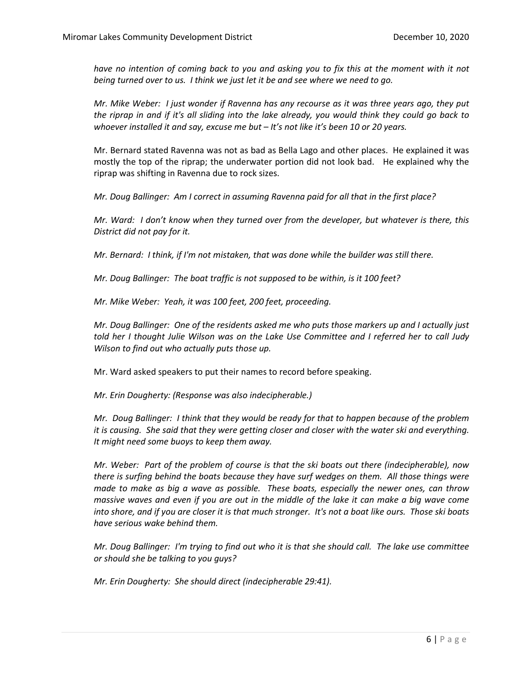have no intention of coming back to you and asking you to fix this at the moment with it not *being turned over to us. I think we just let it be and see where we need to go.* 

*Mr. Mike Weber: I just wonder if Ravenna has any recourse as it was three years ago, they put the riprap in and if it's all sliding into the lake already, you would think they could go back to whoever installed it and say, excuse me but – It's not like it's been 10 or 20 years.* 

Mr. Bernard stated Ravenna was not as bad as Bella Lago and other places. He explained it was mostly the top of the riprap; the underwater portion did not look bad. He explained why the riprap was shifting in Ravenna due to rock sizes.

*Mr. Doug Ballinger: Am I correct in assuming Ravenna paid for all that in the first place?*

*Mr. Ward: I don't know when they turned over from the developer, but whatever is there, this District did not pay for it.* 

*Mr. Bernard: I think, if I'm not mistaken, that was done while the builder was still there.* 

*Mr. Doug Ballinger: The boat traffic is not supposed to be within, is it 100 feet?* 

*Mr. Mike Weber: Yeah, it was 100 feet, 200 feet, proceeding.*

*Mr. Doug Ballinger: One of the residents asked me who puts those markers up and I actually just told her I thought Julie Wilson was on the Lake Use Committee and I referred her to call Judy Wilson to find out who actually puts those up.*

Mr. Ward asked speakers to put their names to record before speaking.

*Mr. Erin Dougherty: (Response was also indecipherable.)*

*Mr. Doug Ballinger: I think that they would be ready for that to happen because of the problem it is causing. She said that they were getting closer and closer with the water ski and everything. It might need some buoys to keep them away.* 

*Mr. Weber: Part of the problem of course is that the ski boats out there (indecipherable), now there is surfing behind the boats because they have surf wedges on them. All those things were made to make as big a wave as possible. These boats, especially the newer ones, can throw massive waves and even if you are out in the middle of the lake it can make a big wave come into shore, and if you are closer it is that much stronger. It's not a boat like ours. Those ski boats have serious wake behind them.* 

*Mr. Doug Ballinger: I'm trying to find out who it is that she should call. The lake use committee or should she be talking to you guys?*

*Mr. Erin Dougherty: She should direct (indecipherable 29:41).*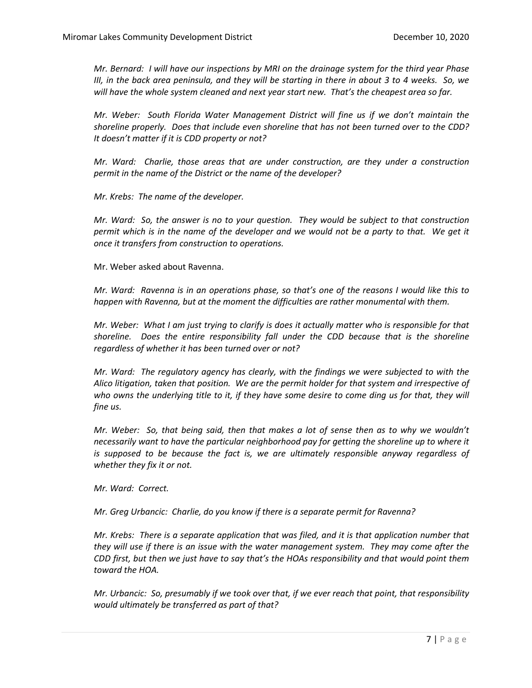*Mr. Bernard: I will have our inspections by MRI on the drainage system for the third year Phase III, in the back area peninsula, and they will be starting in there in about 3 to 4 weeks. So, we will have the whole system cleaned and next year start new. That's the cheapest area so far.* 

*Mr. Weber: South Florida Water Management District will fine us if we don't maintain the shoreline properly. Does that include even shoreline that has not been turned over to the CDD? It doesn't matter if it is CDD property or not?*

*Mr. Ward: Charlie, those areas that are under construction, are they under a construction permit in the name of the District or the name of the developer?*

*Mr. Krebs: The name of the developer.*

*Mr. Ward: So, the answer is no to your question. They would be subject to that construction permit which is in the name of the developer and we would not be a party to that. We get it once it transfers from construction to operations.* 

Mr. Weber asked about Ravenna.

*Mr. Ward: Ravenna is in an operations phase, so that's one of the reasons I would like this to happen with Ravenna, but at the moment the difficulties are rather monumental with them.* 

*Mr. Weber: What I am just trying to clarify is does it actually matter who is responsible for that shoreline. Does the entire responsibility fall under the CDD because that is the shoreline regardless of whether it has been turned over or not?* 

*Mr. Ward: The regulatory agency has clearly, with the findings we were subjected to with the Alico litigation, taken that position. We are the permit holder for that system and irrespective of*  who owns the underlying title to it, if they have some desire to come ding us for that, they will *fine us.*

*Mr. Weber: So, that being said, then that makes a lot of sense then as to why we wouldn't necessarily want to have the particular neighborhood pay for getting the shoreline up to where it is supposed to be because the fact is, we are ultimately responsible anyway regardless of whether they fix it or not.* 

*Mr. Ward: Correct.*

*Mr. Greg Urbancic: Charlie, do you know if there is a separate permit for Ravenna?*

*Mr. Krebs: There is a separate application that was filed, and it is that application number that they will use if there is an issue with the water management system. They may come after the CDD first, but then we just have to say that's the HOAs responsibility and that would point them toward the HOA.* 

*Mr. Urbancic: So, presumably if we took over that, if we ever reach that point, that responsibility would ultimately be transferred as part of that?*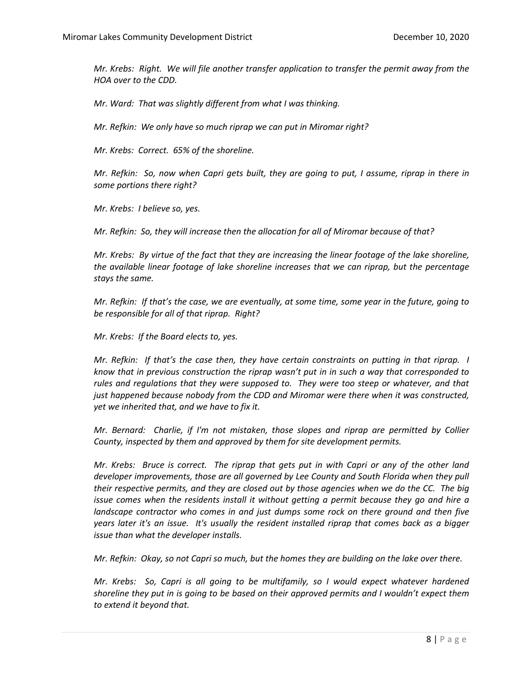*Mr. Krebs: Right. We will file another transfer application to transfer the permit away from the HOA over to the CDD.* 

*Mr. Ward: That was slightly different from what I was thinking.* 

*Mr. Refkin: We only have so much riprap we can put in Miromar right?*

*Mr. Krebs: Correct. 65% of the shoreline.*

*Mr. Refkin: So, now when Capri gets built, they are going to put, I assume, riprap in there in some portions there right?*

*Mr. Krebs: I believe so, yes.*

*Mr. Refkin: So, they will increase then the allocation for all of Miromar because of that?*

*Mr. Krebs: By virtue of the fact that they are increasing the linear footage of the lake shoreline, the available linear footage of lake shoreline increases that we can riprap, but the percentage stays the same.* 

*Mr. Refkin: If that's the case, we are eventually, at some time, some year in the future, going to be responsible for all of that riprap. Right?*

*Mr. Krebs: If the Board elects to, yes.* 

*Mr. Refkin: If that's the case then, they have certain constraints on putting in that riprap. I know that in previous construction the riprap wasn't put in in such a way that corresponded to rules and regulations that they were supposed to. They were too steep or whatever, and that just happened because nobody from the CDD and Miromar were there when it was constructed, yet we inherited that, and we have to fix it.* 

*Mr. Bernard: Charlie, if I'm not mistaken, those slopes and riprap are permitted by Collier County, inspected by them and approved by them for site development permits.*

*Mr. Krebs: Bruce is correct. The riprap that gets put in with Capri or any of the other land developer improvements, those are all governed by Lee County and South Florida when they pull their respective permits, and they are closed out by those agencies when we do the CC. The big issue comes when the residents install it without getting a permit because they go and hire a landscape contractor who comes in and just dumps some rock on there ground and then five years later it's an issue. It's usually the resident installed riprap that comes back as a bigger issue than what the developer installs.*

*Mr. Refkin: Okay, so not Capri so much, but the homes they are building on the lake over there.*

*Mr. Krebs: So, Capri is all going to be multifamily, so I would expect whatever hardened shoreline they put in is going to be based on their approved permits and I wouldn't expect them to extend it beyond that.*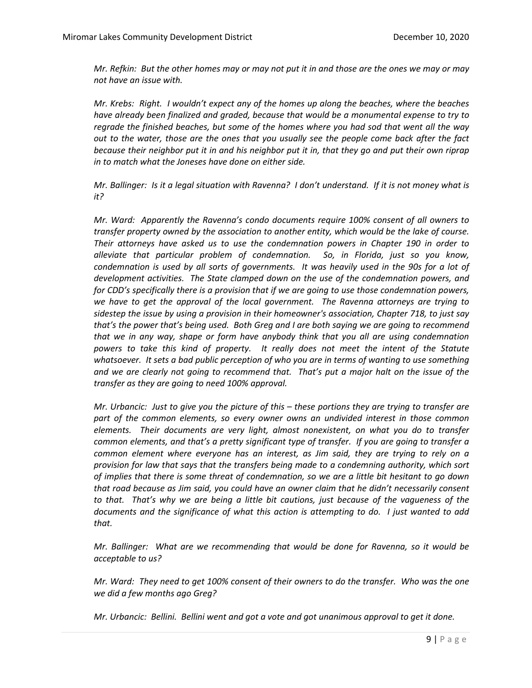*Mr. Refkin: But the other homes may or may not put it in and those are the ones we may or may not have an issue with.* 

*Mr. Krebs: Right. I wouldn't expect any of the homes up along the beaches, where the beaches have already been finalized and graded, because that would be a monumental expense to try to regrade the finished beaches, but some of the homes where you had sod that went all the way out to the water, those are the ones that you usually see the people come back after the fact because their neighbor put it in and his neighbor put it in, that they go and put their own riprap in to match what the Joneses have done on either side.* 

*Mr. Ballinger: Is it a legal situation with Ravenna? I don't understand. If it is not money what is it?*

*Mr. Ward: Apparently the Ravenna's condo documents require 100% consent of all owners to transfer property owned by the association to another entity, which would be the lake of course. Their attorneys have asked us to use the condemnation powers in Chapter 190 in order to alleviate that particular problem of condemnation. So, in Florida, just so you know, condemnation is used by all sorts of governments. It was heavily used in the 90s for a lot of development activities. The State clamped down on the use of the condemnation powers, and for CDD's specifically there is a provision that if we are going to use those condemnation powers, we have to get the approval of the local government. The Ravenna attorneys are trying to sidestep the issue by using a provision in their homeowner's association, Chapter 718, to just say that's the power that's being used. Both Greg and I are both saying we are going to recommend that we in any way, shape or form have anybody think that you all are using condemnation powers to take this kind of property. It really does not meet the intent of the Statute whatsoever. It sets a bad public perception of who you are in terms of wanting to use something and we are clearly not going to recommend that. That's put a major halt on the issue of the transfer as they are going to need 100% approval.* 

*Mr. Urbancic: Just to give you the picture of this – these portions they are trying to transfer are part of the common elements, so every owner owns an undivided interest in those common elements. Their documents are very light, almost nonexistent, on what you do to transfer common elements, and that's a pretty significant type of transfer. If you are going to transfer a common element where everyone has an interest, as Jim said, they are trying to rely on a provision for law that says that the transfers being made to a condemning authority, which sort of implies that there is some threat of condemnation, so we are a little bit hesitant to go down that road because as Jim said, you could have an owner claim that he didn't necessarily consent to that. That's why we are being a little bit cautions, just because of the vagueness of the documents and the significance of what this action is attempting to do. I just wanted to add that.* 

*Mr. Ballinger: What are we recommending that would be done for Ravenna, so it would be acceptable to us?*

*Mr. Ward: They need to get 100% consent of their owners to do the transfer. Who was the one we did a few months ago Greg?*

*Mr. Urbancic: Bellini. Bellini went and got a vote and got unanimous approval to get it done.*